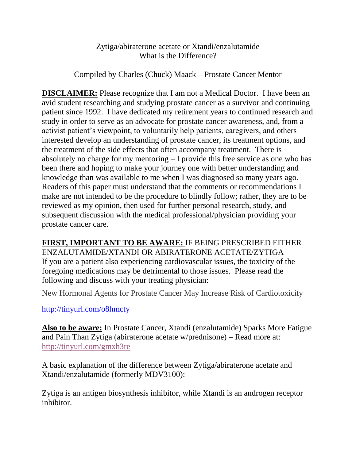## Zytiga/abiraterone acetate or Xtandi/enzalutamide What is the Difference?

Compiled by Charles (Chuck) Maack – Prostate Cancer Mentor

**DISCLAIMER:** Please recognize that I am not a Medical Doctor. I have been an avid student researching and studying prostate cancer as a survivor and continuing patient since 1992. I have dedicated my retirement years to continued research and study in order to serve as an advocate for prostate cancer awareness, and, from a activist patient's viewpoint, to voluntarily help patients, caregivers, and others interested develop an understanding of prostate cancer, its treatment options, and the treatment of the side effects that often accompany treatment. There is absolutely no charge for my mentoring – I provide this free service as one who has been there and hoping to make your journey one with better understanding and knowledge than was available to me when I was diagnosed so many years ago. Readers of this paper must understand that the comments or recommendations I make are not intended to be the procedure to blindly follow; rather, they are to be reviewed as my opinion, then used for further personal research, study, and subsequent discussion with the medical professional/physician providing your prostate cancer care.

**FIRST, IMPORTANT TO BE AWARE:** IF BEING PRESCRIBED EITHER ENZALUTAMIDE/XTANDI OR ABIRATERONE ACETATE/ZYTIGA If you are a patient also experiencing cardiovascular issues, the toxicity of the foregoing medications may be detrimental to those issues. Please read the following and discuss with your treating physician:

New Hormonal Agents for Prostate Cancer May Increase Risk of Cardiotoxicity

<http://tinyurl.com/o8hmcty>

**Also to be aware:** In Prostate Cancer, Xtandi (enzalutamide) Sparks More Fatigue and Pain Than Zytiga (abiraterone acetate w/prednisone) – Read more at: <http://tinyurl.com/gmxh3re>

A basic explanation of the difference between Zytiga/abiraterone acetate and Xtandi/enzalutamide (formerly MDV3100):

Zytiga is an antigen biosynthesis inhibitor, while Xtandi is an androgen receptor inhibitor.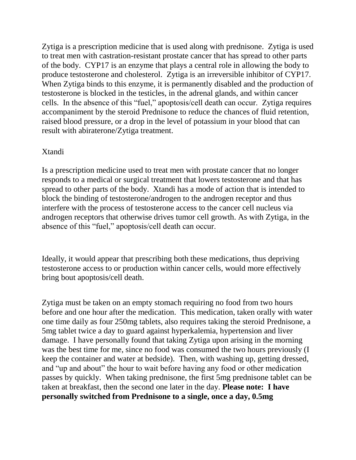Zytiga is a prescription medicine that is used along with prednisone. Zytiga is used to treat men with castration-resistant prostate cancer that has spread to other parts of the body. CYP17 is an enzyme that plays a central role in allowing the body to produce testosterone and cholesterol. Zytiga is an irreversible inhibitor of CYP17. When Zytiga binds to this enzyme, it is permanently disabled and the production of testosterone is blocked in the testicles, in the adrenal glands, and within cancer cells. In the absence of this "fuel," apoptosis/cell death can occur. Zytiga requires accompaniment by the steroid Prednisone to reduce the chances of fluid retention, raised blood pressure, or a drop in the level of potassium in your blood that can result with abiraterone/Zytiga treatment.

## Xtandi

Is a prescription medicine used to treat men with prostate cancer that no longer responds to a medical or surgical treatment that lowers testosterone and that has spread to other parts of the body. Xtandi has a mode of action that is intended to block the binding of testosterone/androgen to the androgen receptor and thus interfere with the process of testosterone access to the cancer cell nucleus via androgen receptors that otherwise drives tumor cell growth. As with Zytiga, in the absence of this "fuel," apoptosis/cell death can occur.

Ideally, it would appear that prescribing both these medications, thus depriving testosterone access to or production within cancer cells, would more effectively bring bout apoptosis/cell death.

Zytiga must be taken on an empty stomach requiring no food from two hours before and one hour after the medication. This medication, taken orally with water one time daily as four 250mg tablets, also requires taking the steroid Prednisone, a 5mg tablet twice a day to guard against hyperkalemia, hypertension and liver damage. I have personally found that taking Zytiga upon arising in the morning was the best time for me, since no food was consumed the two hours previously (I keep the container and water at bedside). Then, with washing up, getting dressed, and "up and about" the hour to wait before having any food or other medication passes by quickly. When taking prednisone, the first 5mg prednisone tablet can be taken at breakfast, then the second one later in the day. **Please note: I have personally switched from Prednisone to a single, once a day, 0.5mg**